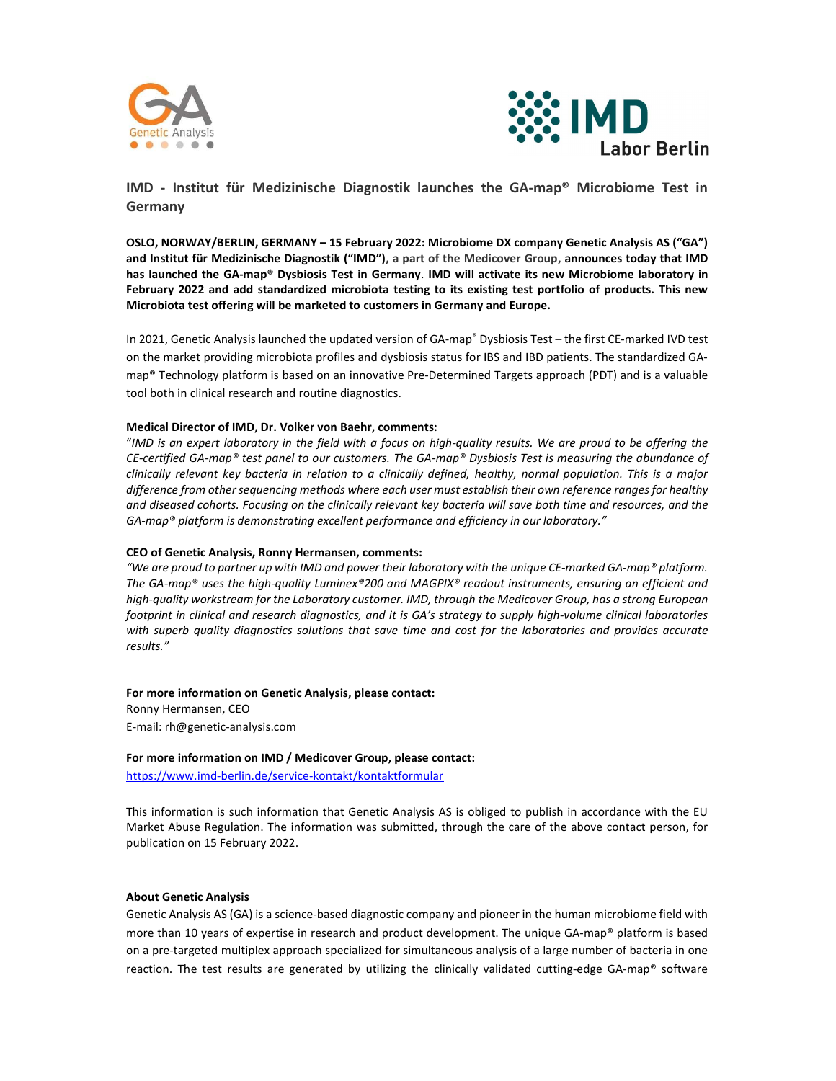



IMD - Institut für Medizinische Diagnostik launches the GA-map® Microbiome Test in Germany

OSLO, NORWAY/BERLIN, GERMANY – 15 February 2022: Microbiome DX company Genetic Analysis AS ("GA") and Institut für Medizinische Diagnostik ("IMD"), a part of the Medicover Group, announces today that IMD has launched the GA-map® Dysbiosis Test in Germany. IMD will activate its new Microbiome laboratory in February 2022 and add standardized microbiota testing to its existing test portfolio of products. This new Microbiota test offering will be marketed to customers in Germany and Europe.

In 2021, Genetic Analysis launched the updated version of GA-map® Dysbiosis Test - the first CE-marked IVD test on the market providing microbiota profiles and dysbiosis status for IBS and IBD patients. The standardized GAmap® Technology platform is based on an innovative Pre-Determined Targets approach (PDT) and is a valuable tool both in clinical research and routine diagnostics.

## Medical Director of IMD, Dr. Volker von Baehr, comments:

"IMD is an expert laboratory in the field with a focus on high-quality results. We are proud to be offering the CE-certified GA-map® test panel to our customers. The GA-map® Dysbiosis Test is measuring the abundance of clinically relevant key bacteria in relation to a clinically defined, healthy, normal population. This is a major difference from other sequencing methods where each user must establish their own reference ranges for healthy and diseased cohorts. Focusing on the clinically relevant key bacteria will save both time and resources, and the GA-map® platform is demonstrating excellent performance and efficiency in our laboratory."

# CEO of Genetic Analysis, Ronny Hermansen, comments:

"We are proud to partner up with IMD and power their laboratory with the unique CE-marked GA-map® platform. The GA-map® uses the high-quality Luminex®200 and MAGPIX® readout instruments, ensuring an efficient and high-quality workstream for the Laboratory customer. IMD, through the Medicover Group, has a strong European footprint in clinical and research diagnostics, and it is GA's strategy to supply high-volume clinical laboratories with superb quality diagnostics solutions that save time and cost for the laboratories and provides accurate results."

## For more information on Genetic Analysis, please contact:

Ronny Hermansen, CEO E-mail: rh@genetic-analysis.com

# For more information on IMD / Medicover Group, please contact:

https://www.imd-berlin.de/service-kontakt/kontaktformular

This information is such information that Genetic Analysis AS is obliged to publish in accordance with the EU Market Abuse Regulation. The information was submitted, through the care of the above contact person, for publication on 15 February 2022.

# About Genetic Analysis

Genetic Analysis AS (GA) is a science-based diagnostic company and pioneer in the human microbiome field with more than 10 years of expertise in research and product development. The unique GA-map® platform is based on a pre-targeted multiplex approach specialized for simultaneous analysis of a large number of bacteria in one reaction. The test results are generated by utilizing the clinically validated cutting-edge GA-map® software